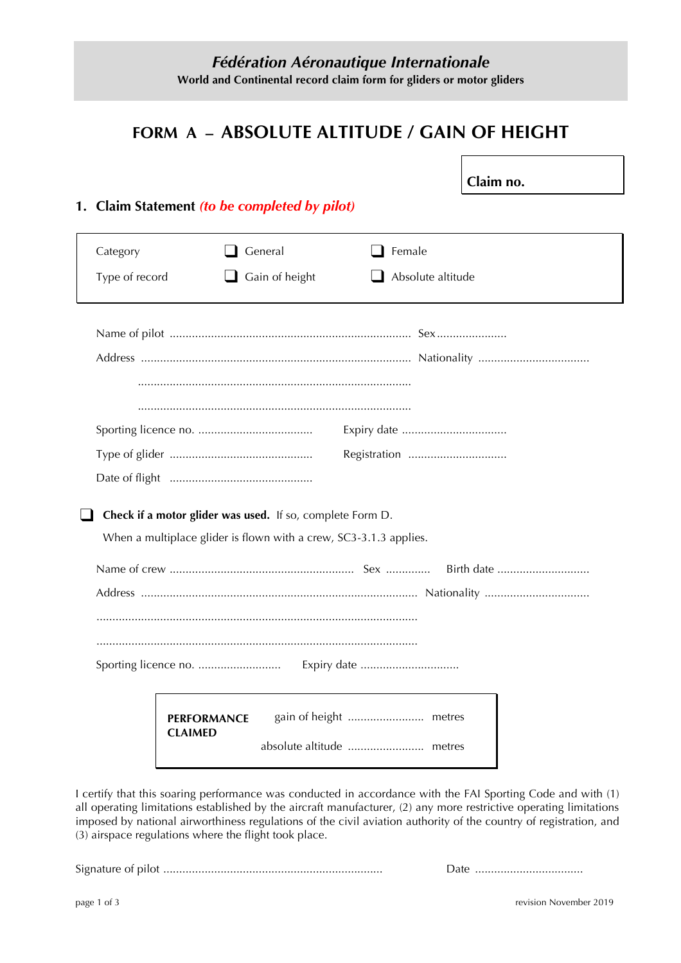# **FORM A – ABSOLUTE ALTITUDE / GAIN OF HEIGHT**

**Claim no.**

# **1. Claim Statement** *(to be completed by pilot)*

| Category<br>Type of record |                                                           | General<br>Gain of height | Female<br>Absolute altitude                                       |  |
|----------------------------|-----------------------------------------------------------|---------------------------|-------------------------------------------------------------------|--|
|                            |                                                           |                           |                                                                   |  |
|                            |                                                           |                           | Registration                                                      |  |
|                            | Check if a motor glider was used. If so, complete Form D. |                           | When a multiplace glider is flown with a crew, SC3-3.1.3 applies. |  |
|                            |                                                           |                           |                                                                   |  |
|                            | <b>PERFORMANCE</b><br><b>CLAIMED</b>                      |                           |                                                                   |  |

I certify that this soaring performance was conducted in accordance with the FAI Sporting Code and with (1) all operating limitations established by the aircraft manufacturer, (2) any more restrictive operating limitations imposed by national airworthiness regulations of the civil aviation authority of the country of registration, and (3) airspace regulations where the flight took place.

Signature of pilot ..................................................................... Date ..................................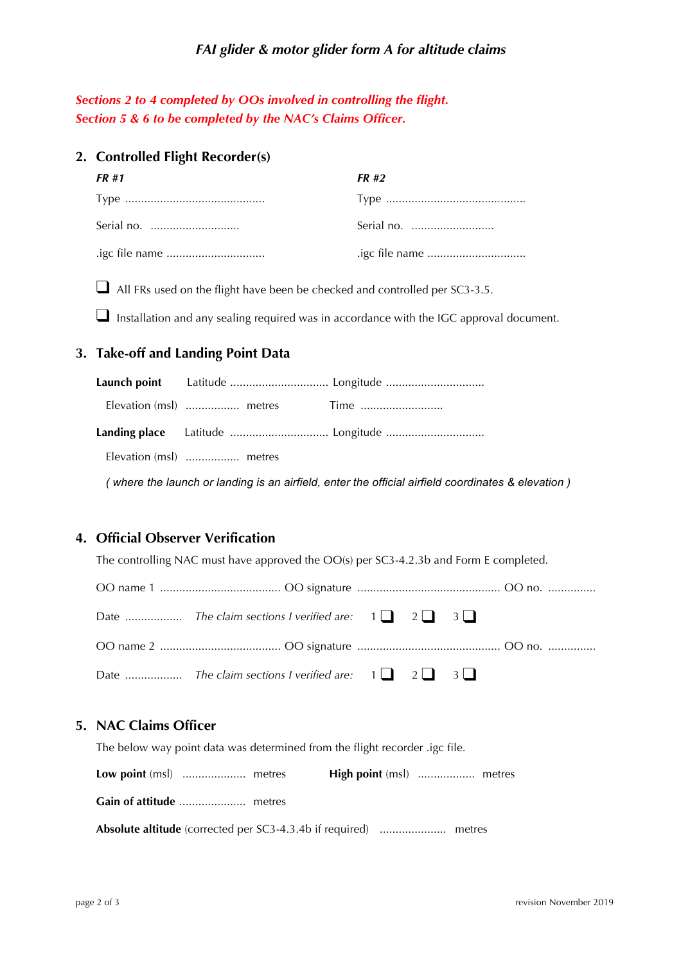#### *FAI glider & motor glider form A for altitude claims*

*Sections 2 to 4 completed by OOs involved in controlling the flight. Section 5 & 6 to be completed by the NAC's Claims Officer.*

#### **2. Controlled Flight Recorder(s)**

| FR #1 | FR #2 |
|-------|-------|
|       |       |
|       |       |
|       |       |

■ All FRs used on the flight have been be checked and controlled per SC3-3.5.

 $\Box$  Installation and any sealing required was in accordance with the IGC approval document.

### **3. Take-off and Landing Point Data**

| Elevation (msl)  metres |  |
|-------------------------|--|

*( where the launch or landing is an airfield, enter the official airfield coordinates & elevation )*

### **4. Official Observer Verification**

The controlling NAC must have approved the OO(s) per SC3-4.2.3b and Form E completed.

#### **5. NAC Claims Officer**

| The below way point data was determined from the flight recorder .igc file. |  |  |
|-----------------------------------------------------------------------------|--|--|
|                                                                             |  |  |
|                                                                             |  |  |
|                                                                             |  |  |